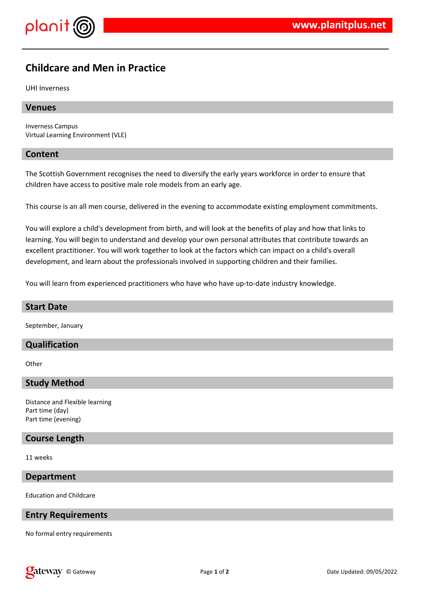

# **Childcare and Men in Practice**

UHI Inverness

#### **Venues**

Inverness Campus Virtual Learning Environment (VLE)

#### **Content**

The Scottish Government recognises the need to diversify the early years workforce in order to ensure that children have access to positive male role models from an early age.

This course is an all men course, delivered in the evening to accommodate existing employment commitments.

You will explore a child's development from birth, and will look at the benefits of play and how that links to learning. You will begin to understand and develop your own personal attributes that contribute towards an excellent practitioner. You will work together to look at the factors which can impact on a child's overall development, and learn about the professionals involved in supporting children and their families.

You will learn from experienced practitioners who have who have up-to-date industry knowledge.

#### **Start Date**

September, January

## **Qualification**

**Other** 

#### **Study Method**

Distance and Flexible learning Part time (day) Part time (evening)

## **Course Length**

11 weeks

#### **Department**

Education and Childcare

#### **Entry Requirements**

No formal entry requirements